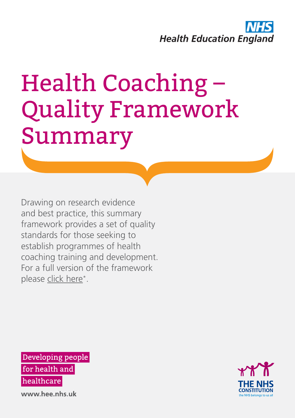

# Health Coaching – Quality Framework Summary

Drawing on research evidence and best practice, this summary framework provides a set of quality standards for those seeking to establish programmes of health coaching training and development. For a full version of the framework please [click here\\*.](https://hee.nhs.uk/hee-your-area/north-central-east-london/our-work/attracting-developing-our-workforce/multi-professional-workforce/health-coaching)

Developing people for health and healthcare

**CONSTITUTION** the NHS belongs to us all

www.hee.nhs.uk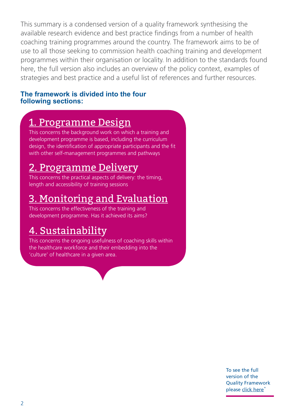This summary is a condensed version of a quality framework synthesising the available research evidence and best practice findings from a number of health coaching training programmes around the country. The framework aims to be of use to all those seeking to commission health coaching training and development programmes within their organisation or locality. In addition to the standards found here, the full version also includes an overview of the policy context, examples of strategies and best practice and a useful list of references and further resources.

#### **The framework is divided into the four following sections:**

#### [1. Programme Design](#page-2-0)

This concerns the background work on which a training and development programme is based, including the curriculum design, the identification of appropriate participants and the fit with other self-management programmes and pathways

#### [2. Programme Delivery](#page-3-0)

This concerns the practical aspects of delivery: the timing, length and accessibility of training sessions

### [3. Monitoring and Evaluation](#page-4-0)

This concerns the effectiveness of the training and development programme. Has it achieved its aims?

#### [4. Sustainability](#page-5-0)

This concerns the ongoing usefulness of coaching skills within the healthcare workforce and their embedding into the 'culture' of healthcare in a given area.

> To see the full version of the Quality Framework please [click here](https://hee.nhs.uk/hee-your-area/north-central-east-london/our-work/attracting-developing-our-workforce/multi-professional-workforce/health-coaching )<sup>\*</sup>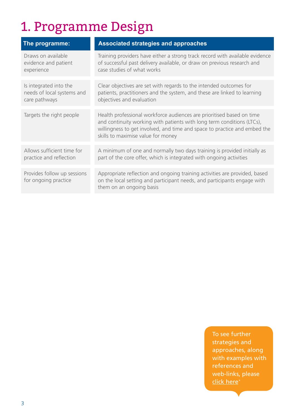## <span id="page-2-0"></span>1. Programme Design

| The programme:                                      | <b>Associated strategies and approaches</b>                                                                                                                                                                                                                        |
|-----------------------------------------------------|--------------------------------------------------------------------------------------------------------------------------------------------------------------------------------------------------------------------------------------------------------------------|
| Draws on available                                  | Training providers have either a strong track record with available evidence                                                                                                                                                                                       |
| evidence and patient                                | of successful past delivery available, or draw on previous research and                                                                                                                                                                                            |
| experience                                          | case studies of what works                                                                                                                                                                                                                                         |
| Is integrated into the                              | Clear objectives are set with regards to the intended outcomes for                                                                                                                                                                                                 |
| needs of local systems and                          | patients, practitioners and the system, and these are linked to learning                                                                                                                                                                                           |
| care pathways                                       | objectives and evaluation                                                                                                                                                                                                                                          |
| Targets the right people                            | Health professional workforce audiences are prioritised based on time<br>and continuity working with patients with long term conditions (LTCs),<br>willingness to get involved, and time and space to practice and embed the<br>skills to maximise value for money |
| Allows sufficient time for                          | A minimum of one and normally two days training is provided initially as                                                                                                                                                                                           |
| practice and reflection                             | part of the core offer, which is integrated with ongoing activities                                                                                                                                                                                                |
| Provides follow up sessions<br>for ongoing practice | Appropriate reflection and ongoing training activities are provided, based<br>on the local setting and participant needs, and participants engage with<br>them on an ongoing basis                                                                                 |

To see further strategies and approaches, along with examples with references and web-links, please [click here](https://hee.nhs.uk/hee-your-area/north-central-east-london/our-work/attracting-developing-our-workforce/multi-professional-workforce/health-coaching )<sup>\*</sup>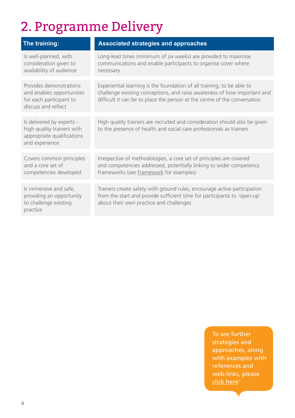## <span id="page-3-0"></span>2. Programme Delivery

| The training:                                                                                           | <b>Associated strategies and approaches</b>                                                                                                                                                                                     |
|---------------------------------------------------------------------------------------------------------|---------------------------------------------------------------------------------------------------------------------------------------------------------------------------------------------------------------------------------|
| Is well-planned, with<br>consideration given to<br>availability of audience                             | Long-lead times (minimum of six weeks) are provided to maximise<br>communications and enable participants to organise cover where<br>necessary                                                                                  |
| Provides demonstrations<br>and enables opportunities<br>for each participant to<br>discuss and reflect  | Experiential learning is the foundation of all training, to be able to<br>challenge existing conceptions, and raise awareness of how important and<br>difficult it can be to place the person at the centre of the conversation |
| Is delivered by experts -<br>high quality trainers with<br>appropriate qualifications<br>and experience | High quality trainers are recruited and consideration should also be given<br>to the presence of health and social care professionals as trainers                                                                               |
| Covers common principles<br>and a core set of<br>competencies developed                                 | Irrespective of methodologies, a core set of principles are covered<br>and competencies addressed, potentially linking to wider competency<br>frameworks (see Framework for examples)                                           |
| Is immersive and safe,<br>providing an opportunity<br>to challenge existing<br>practice                 | Trainers create safety with ground rules, encourage active participation<br>from the start and provide sufficient time for participants to 'open-up'<br>about their own practice and challenges                                 |

To see further strategies and approaches, along with examples with references and web-links, please [click here](https://hee.nhs.uk/hee-your-area/north-central-east-london/our-work/attracting-developing-our-workforce/multi-professional-workforce/health-coaching )<sup>\*</sup>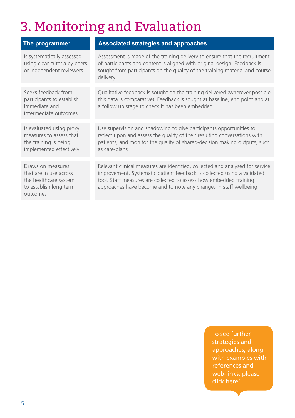## <span id="page-4-0"></span>3. Monitoring and Evaluation

| The programme:                                                                                             | <b>Associated strategies and approaches</b>                                                                                                                                                                                                                                                         |
|------------------------------------------------------------------------------------------------------------|-----------------------------------------------------------------------------------------------------------------------------------------------------------------------------------------------------------------------------------------------------------------------------------------------------|
| Is systematically assessed<br>using clear criteria by peers<br>or independent reviewers                    | Assessment is made of the training delivery to ensure that the recruitment<br>of participants and content is aligned with original design. Feedback is<br>sought from participants on the quality of the training material and course<br>delivery                                                   |
| Seeks feedback from<br>participants to establish<br>immediate and<br>intermediate outcomes                 | Qualitative feedback is sought on the training delivered (wherever possible<br>this data is comparative). Feedback is sought at baseline, end point and at<br>a follow up stage to check it has been embedded                                                                                       |
| Is evaluated using proxy<br>measures to assess that<br>the training is being<br>implemented effectively    | Use supervision and shadowing to give participants opportunities to<br>reflect upon and assess the quality of their resulting conversations with<br>patients, and monitor the quality of shared-decision making outputs, such<br>as care-plans                                                      |
| Draws on measures<br>that are in use across<br>the healthcare system<br>to establish long term<br>outcomes | Relevant clinical measures are identified, collected and analysed for service<br>improvement. Systematic patient feedback is collected using a validated<br>tool. Staff measures are collected to assess how embedded training<br>approaches have become and to note any changes in staff wellbeing |

To see further strategies and approaches, along with examples with references and web-links, please [click here](https://hee.nhs.uk/hee-your-area/north-central-east-london/our-work/attracting-developing-our-workforce/multi-professional-workforce/health-coaching )<sup>\*</sup>